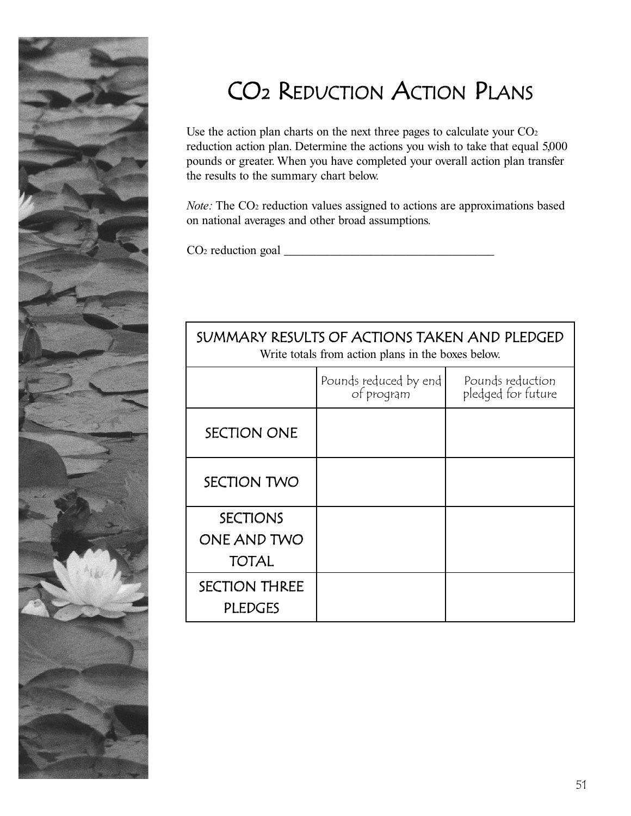

## CO2 REDUCTION ACTION PLANS

Use the action plan charts on the next three pages to calculate your  $CO<sub>2</sub>$ reduction action plan. Determine the actions you wish to take that equal 5,000 pounds or greater. When you have completed your overall action plan transfer the results to the summary chart below.

*Note:* The CO<sub>2</sub> reduction values assigned to actions are approximations based on national averages and other broad assumptions.

SUMMARY RESULTS OF ACTIONS TAKEN AND PLEDGED

 $CO<sub>2</sub>$  reduction goal  $\Box$ 

| Write totals from action plans in the boxes below. |                                     |                                        |  |  |  |  |
|----------------------------------------------------|-------------------------------------|----------------------------------------|--|--|--|--|
|                                                    | Pounds reduced by end<br>of program | Pounds reduction<br>pledged for future |  |  |  |  |
| <b>SECTION ONE</b>                                 |                                     |                                        |  |  |  |  |
| SECTION TWO                                        |                                     |                                        |  |  |  |  |
| <b>SECTIONS</b><br>ONE AND TWO<br><b>TOTAL</b>     |                                     |                                        |  |  |  |  |
| <b>SECTION THREE</b><br><b>PLEDGES</b>             |                                     |                                        |  |  |  |  |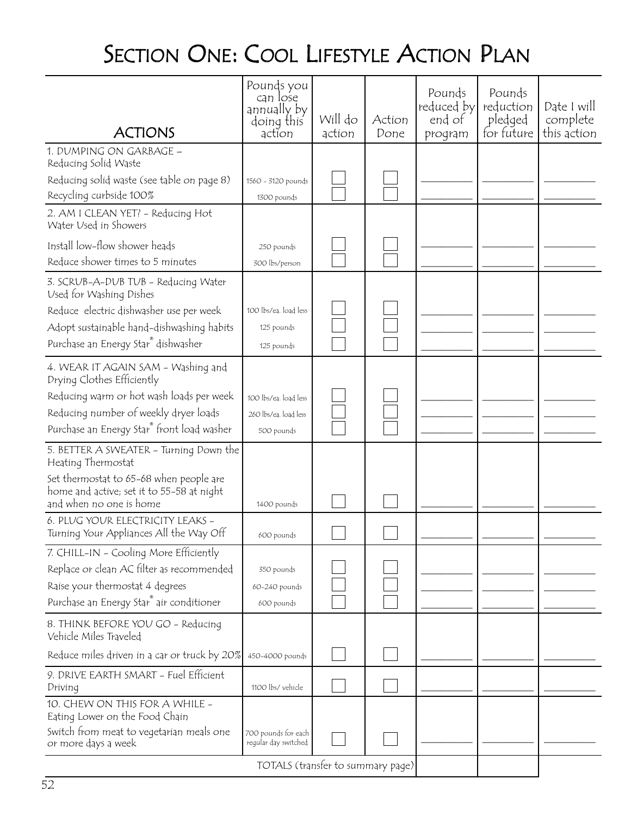## SECTION ONE: COOL LIFESTYLE ACTION PLAN

| <b>ACTIONS</b>                                                                                                  | Pounds you<br>can lose<br>annually by<br>doing this<br>action | Will do<br>action | Action<br>Done | Pounds<br>reduced by<br>end of<br>program | Pounds<br>reduction<br>pledged<br>for future | Date I will<br>complete<br>this action |
|-----------------------------------------------------------------------------------------------------------------|---------------------------------------------------------------|-------------------|----------------|-------------------------------------------|----------------------------------------------|----------------------------------------|
| 1. DUMPING ON GARBAGE -<br>Reducing Solid Waste                                                                 |                                                               |                   |                |                                           |                                              |                                        |
| Reducing solid waste (see table on page 8)                                                                      | 1560 - 3120 pounds                                            |                   |                |                                           |                                              |                                        |
| Recycling curbside 100%                                                                                         | 1300 pounds                                                   |                   |                |                                           |                                              |                                        |
| 2. AM I CLEAN YET? - Reducing Hot<br>Water Used in Showers                                                      |                                                               |                   |                |                                           |                                              |                                        |
| Install low-flow shower heads                                                                                   | 250 pounds                                                    |                   |                |                                           |                                              |                                        |
| Reduce shower times to 5 minutes                                                                                | 300 lbs/person                                                |                   |                |                                           |                                              |                                        |
| 3. SCRUB-A-DUB TUB - Reducing Water<br>Used for Washing Dishes                                                  |                                                               |                   |                |                                           |                                              |                                        |
| Reduce electric dishwasher use per week                                                                         | 100 lbs/eq. loqd less                                         |                   |                |                                           |                                              |                                        |
| Adopt sustainable hand-dishwashing habits                                                                       | 125 pounds                                                    |                   |                |                                           |                                              |                                        |
| Purchase an Energy Star® dishwasher                                                                             | 125 pounds                                                    |                   |                |                                           |                                              |                                        |
| 4. WEAR IT AGAIN SAM - Washing and<br>Drying Clothes Efficiently                                                |                                                               |                   |                |                                           |                                              |                                        |
| Reducing warm or hot wash loads per week                                                                        | 100 lbs/eq. load less                                         |                   |                |                                           |                                              |                                        |
| Reducing number of weekly dryer loads                                                                           | 260 lbs/eq. loqd less                                         |                   |                |                                           |                                              |                                        |
| Purchase an Energy Star® front load washer                                                                      | 500 pounds                                                    |                   |                |                                           |                                              |                                        |
| 5. BETTER A SWEATER - Turning Down the<br>Heating Thermostat                                                    |                                                               |                   |                |                                           |                                              |                                        |
| Set thermostat to 65-68 when people are<br>home and active; set it to 55-58 at night<br>and when no one is home | 1400 pounds                                                   |                   |                |                                           |                                              |                                        |
| 6. PLUG YOUR ELECTRICITY LEAKS -<br>Turning Your Appliances All the Way Off                                     | 600 pounds                                                    |                   |                |                                           |                                              |                                        |
| 7. CHILL-IN - Cooling More Efficiently                                                                          |                                                               |                   |                |                                           |                                              |                                        |
| Replace or clean AC filter as recommended                                                                       | 350 pounds                                                    |                   |                |                                           |                                              |                                        |
| Raise your thermostat 4 degrees                                                                                 | 60-240 pounds                                                 |                   |                |                                           |                                              |                                        |
| Purchase an Energy Star <sup>®</sup> air conditioner                                                            | 600 pounds                                                    |                   |                |                                           |                                              |                                        |
| 8. THINK BEFORE YOU GO - Reducing<br>Vehicle Miles Traveled                                                     |                                                               |                   |                |                                           |                                              |                                        |
| Reduce miles driven in a car or truck by 20%                                                                    | 450-4000 pounds                                               |                   |                |                                           |                                              |                                        |
| 9. DRIVE EARTH SMART - Fuel Efficient<br>Driving                                                                | 1100 lbs/ vehicle                                             |                   |                |                                           |                                              |                                        |
| 10. CHEW ON THIS FOR A WHILE -<br>Eating Lower on the Food Chain                                                |                                                               |                   |                |                                           |                                              |                                        |
| Switch from meat to vegetarian meals one<br>or more days a week                                                 | 700 pounds for each<br>regular day switched                   |                   |                |                                           |                                              |                                        |
| TOTALS (transfer to summary page)                                                                               |                                                               |                   |                |                                           |                                              |                                        |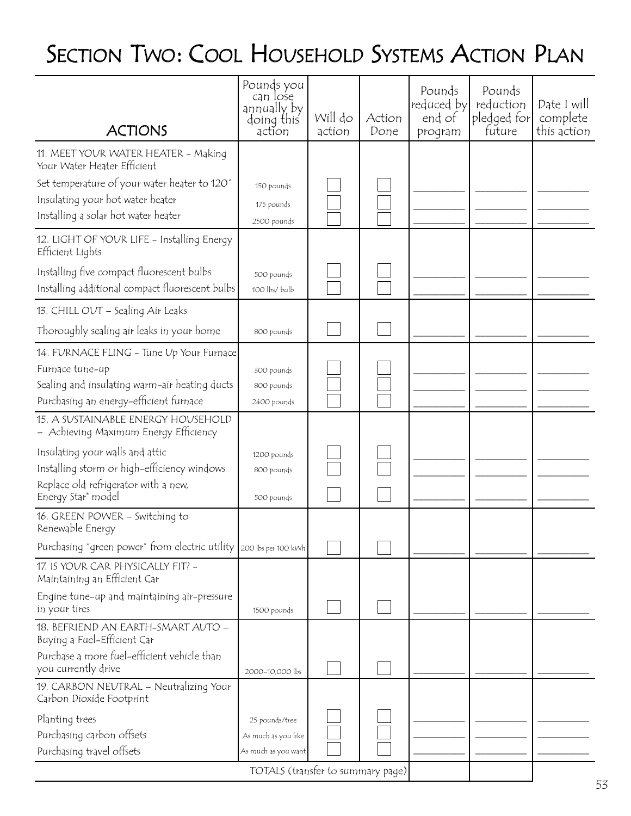## SECTION TWO: COOL HOUSEHOLD SYSTEMS ACTION PLAN

| <b>ACTIONS</b>                                                                               | Pounds you<br>can lose<br>annually by<br>doing this<br>action | Will do<br>action | Action<br>Done | Pounds<br>reduced by<br>end of<br>program | Pounds<br>reduction<br>pledged for<br>future | Date I will<br>complete<br>this action |
|----------------------------------------------------------------------------------------------|---------------------------------------------------------------|-------------------|----------------|-------------------------------------------|----------------------------------------------|----------------------------------------|
| 11. MEET YOUR WATER HEATER - Making<br>Your Water Heater Efficient                           |                                                               |                   |                |                                           |                                              |                                        |
| Set temperature of your water heater to 120°                                                 | 150 pounds                                                    |                   |                |                                           |                                              |                                        |
| Insulating your hot water heater                                                             | 175 pounds                                                    |                   |                |                                           |                                              |                                        |
| Installing a solar hot water heater                                                          | 2500 pounds                                                   |                   |                |                                           |                                              |                                        |
| 12. LIGHT OF YOUR LIFE - Installing Energy<br>Efficient Lights                               |                                                               |                   |                |                                           |                                              |                                        |
| Installing five compact fluorescent bulbs<br>Installing additional compact fluorescent bulbs | 500 pounds<br>100 lbs/ bulb                                   |                   |                |                                           |                                              |                                        |
| 13. CHILL OUT - Sealing Air Leaks                                                            |                                                               |                   |                |                                           |                                              |                                        |
| Thoroughly sealing air leaks in your home                                                    | 800 pounds                                                    |                   |                |                                           |                                              |                                        |
| 14. FURNACE FLING - Tune Up Your Furnace                                                     |                                                               |                   |                |                                           |                                              |                                        |
| Furnace tune-up                                                                              | 300 pounds                                                    |                   |                |                                           |                                              |                                        |
| Sealing and insulating warm-air heating ducts                                                | 800 pounds                                                    |                   |                |                                           |                                              |                                        |
| Purchasing an energy-efficient furnace                                                       | 2400 pounds                                                   |                   |                |                                           |                                              |                                        |
| 15. A SUSTAINABLE ENERGY HOUSEHOLD<br>– Achieving Maximum Energy Efficiency                  |                                                               |                   |                |                                           |                                              |                                        |
| Insulating your walls and attic                                                              | 1200 pounds                                                   |                   |                |                                           |                                              |                                        |
| Installing storm or high-efficiency windows                                                  | 800 pounds                                                    |                   |                |                                           |                                              |                                        |
| Replace old refrigerator with a new,<br>Energy Star® model                                   | 500 pounds                                                    |                   |                |                                           |                                              |                                        |
| 16. GREEN POWER - Switching to<br>Renewable Energy                                           |                                                               |                   |                |                                           |                                              |                                        |
| Purchasing "green power" from electric utility 200 lbs per 100 kwh                           |                                                               |                   |                |                                           |                                              |                                        |
| 17. IS YOUR CAR PHYSICALLY FIT? -<br>Maintaining an Efficient Car                            |                                                               |                   |                |                                           |                                              |                                        |
| Engine tune-up and maintaining air-pressure<br>in your tires                                 | 1500 pounds                                                   |                   |                |                                           |                                              |                                        |
| 18. BEFRIEND AN EARTH-SMART AUTO -<br>Buying a Fuel-Efficient Car                            |                                                               |                   |                |                                           |                                              |                                        |
| Purchase a more fuel-efficient vehicle than<br>you currently drive                           | 2000-10,000 lbs                                               |                   |                |                                           |                                              |                                        |
| 19. CARBON NEUTRAL - Neutralizing Your<br>Carbon Dioxide Footprint                           |                                                               |                   |                |                                           |                                              |                                        |
| Planting trees                                                                               | 25 pounds/tree                                                |                   |                |                                           |                                              |                                        |
| Purchasing carbon offsets                                                                    | As much as you like                                           |                   |                |                                           |                                              |                                        |
| Purchasing travel offsets                                                                    | As much as you want                                           |                   |                |                                           |                                              |                                        |
| TOTALS (transfer to summary page)                                                            |                                                               |                   |                |                                           |                                              |                                        |